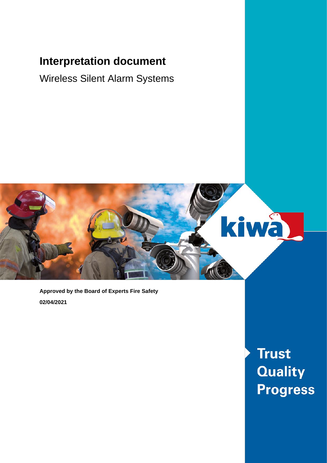### **Interpretation document**

Wireless Silent Alarm Systems



**Approved by the Board of Experts Fire Safety 02/04/2021**

> **Trust Quality Progress**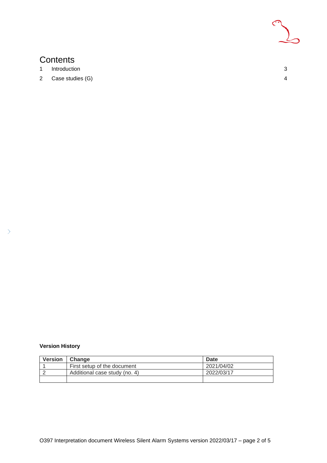

### **Contents**

- 1 [Introduction](#page-2-0) 3
- 2 [Case studies \(G\)](#page-3-0) 4

#### **Version History**

| <b>Version</b> | <b>Change</b>                 | Date       |
|----------------|-------------------------------|------------|
|                | First setup of the document   | 2021/04/02 |
|                | Additional case study (no. 4) | 2022/03/17 |
|                |                               |            |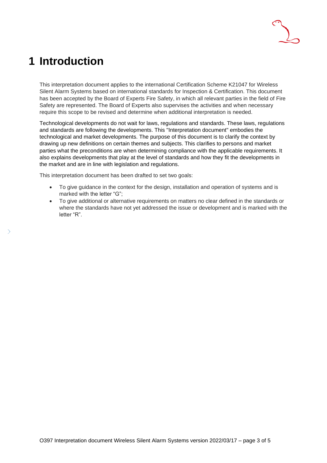## <span id="page-2-0"></span>**1 Introduction**

This interpretation document applies to the international Certification Scheme K21047 for Wireless Silent Alarm Systems based on international standards for Inspection & Certification. This document has been accepted by the Board of Experts Fire Safety, in which all relevant parties in the field of Fire Safety are represented. The Board of Experts also supervises the activities and when necessary require this scope to be revised and determine when additional interpretation is needed.

Technological developments do not wait for laws, regulations and standards. These laws, regulations and standards are following the developments. This "Interpretation document" embodies the technological and market developments. The purpose of this document is to clarify the context by drawing up new definitions on certain themes and subjects. This clarifies to persons and market parties what the preconditions are when determining compliance with the applicable requirements. It also explains developments that play at the level of standards and how they fit the developments in the market and are in line with legislation and regulations.

This interpretation document has been drafted to set two goals:

- To give guidance in the context for the design, installation and operation of systems and is marked with the letter "G";
- To give additional or alternative requirements on matters no clear defined in the standards or where the standards have not yet addressed the issue or development and is marked with the letter "R".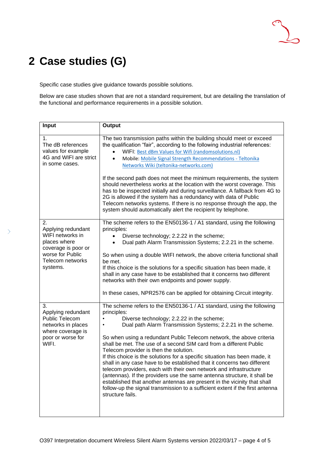# <span id="page-3-0"></span>**2 Case studies (G)**

 $\rightarrow$ 

Specific case studies give guidance towards possible solutions.

Below are case studies shown that are not a standard requirement, but are detailing the translation of the functional and performance requirements in a possible solution.

| Input                                                                                                                                   | Output                                                                                                                                                                                                                                                                                                                                                                                                                                                                                                                                                                                                                                                                                                                                                                                                                                                                                                        |
|-----------------------------------------------------------------------------------------------------------------------------------------|---------------------------------------------------------------------------------------------------------------------------------------------------------------------------------------------------------------------------------------------------------------------------------------------------------------------------------------------------------------------------------------------------------------------------------------------------------------------------------------------------------------------------------------------------------------------------------------------------------------------------------------------------------------------------------------------------------------------------------------------------------------------------------------------------------------------------------------------------------------------------------------------------------------|
| 1.<br>The dB references<br>values for example<br>4G and WIFI are strict<br>in some cases.                                               | The two transmission paths within the building should meet or exceed<br>the qualification "fair", according to the following industrial references:<br>WIFI: Best dBm Values for Wifi (randomsolutions.nl)<br>Mobile: Mobile Signal Strength Recommendations - Teltonika<br>Networks Wiki (teltonika-networks.com)<br>If the second path does not meet the minimum requirements, the system<br>should nevertheless works at the location with the worst coverage. This<br>has to be inspected initially and during surveillance. A fallback from 4G to<br>2G is allowed if the system has a redundancy with data of Public<br>Telecom networks systems. If there is no response through the app, the<br>system should automatically alert the recipient by telephone.                                                                                                                                         |
| 2.<br>Applying redundant<br>WIFI networks in<br>places where<br>coverage is poor or<br>worse for Public<br>Telecom networks<br>systems. | The scheme refers to the EN50136-1 / A1 standard, using the following<br>principles:<br>Diverse technology; 2.2.22 in the scheme;<br>Dual path Alarm Transmission Systems; 2.2.21 in the scheme.<br>So when using a double WIFI network, the above criteria functional shall<br>be met.<br>If this choice is the solutions for a specific situation has been made, it<br>shall in any case have to be established that it concerns two different<br>networks with their own endpoints and power supply.<br>In these cases, NPR2576 can be applied for obtaining Circuit integrity.                                                                                                                                                                                                                                                                                                                            |
| 3.<br>Applying redundant<br>Public Telecom<br>networks in places<br>where coverage is<br>poor or worse for<br>WIFI.                     | The scheme refers to the EN50136-1 / A1 standard, using the following<br>principles:<br>Diverse technology; 2.2.22 in the scheme;<br>$\bullet$<br>Dual path Alarm Transmission Systems; 2.2.21 in the scheme.<br>$\bullet$<br>So when using a redundant Public Telecom network, the above criteria<br>shall be met. The use of a second SIM card from a different Public<br>Telecom provider is then the solution.<br>If this choice is the solutions for a specific situation has been made, it<br>shall in any case have to be established that it concerns two different<br>telecom providers, each with their own network and infrastructure<br>(antennas). If the providers use the same antenna structure, it shall be<br>established that another antennas are present in the vicinity that shall<br>follow-up the signal transmission to a sufficient extent if the first antenna<br>structure fails. |